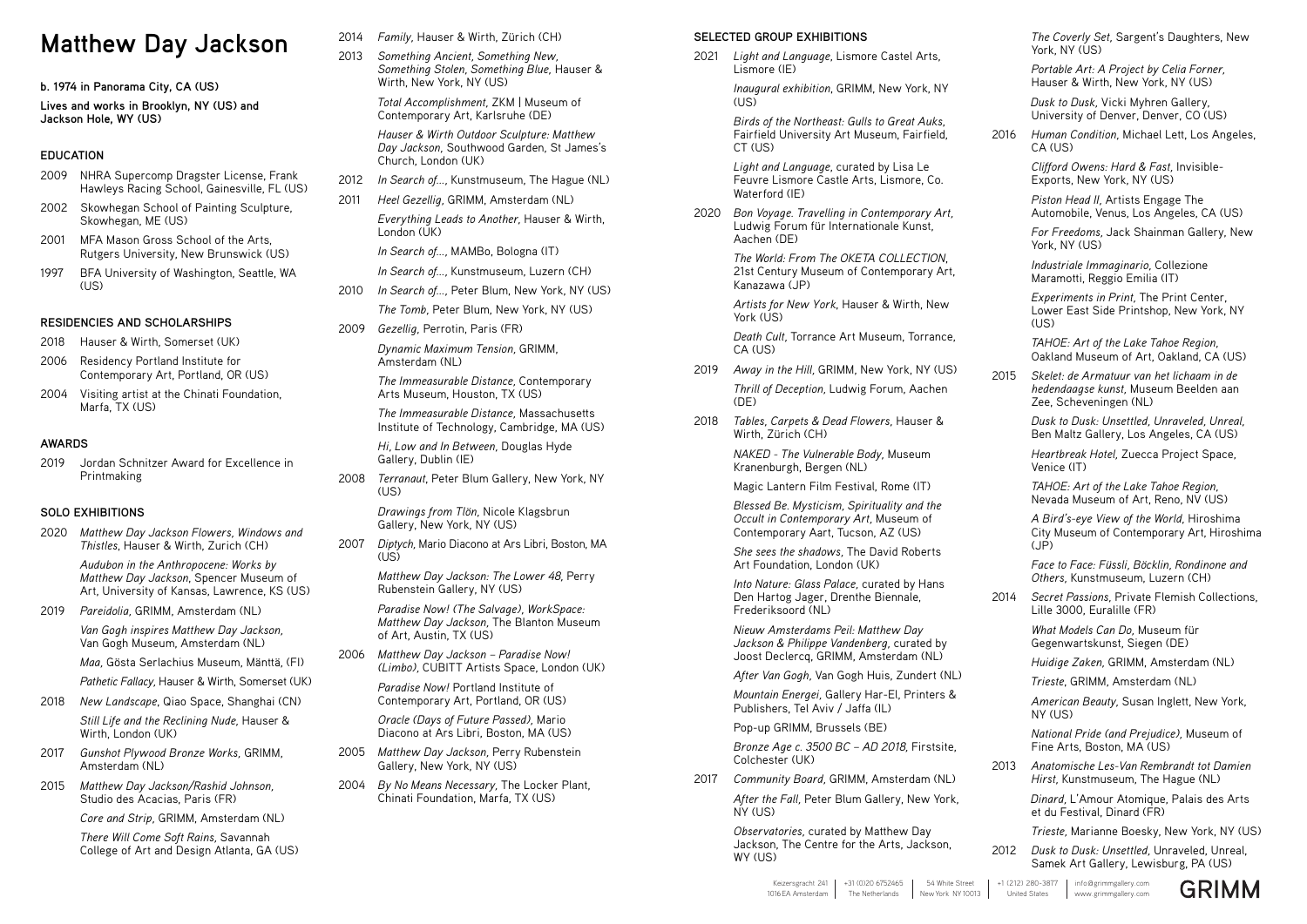# **Matthew Day Jackson**

**b. 1974 in Panorama City, CA (US)**

**Lives and works in Brooklyn, NY (US) and Jackson Hole, WY (US)**

## **EDUCATION**

- 2009 NHRA Supercomp Dragster License, Frank Hawleys Racing School, Gainesville, FL (US)
- 2002 Skowhegan School of Painting Sculpture, Skowhegan, ME (US)
- 2001 MFA Mason Gross School of the Arts, Rutgers University, New Brunswick (US)
- 1997 BFA University of Washington, Seattle, WA (US)

## **RESIDENCIES AND SCHOLARSHIPS**

- 2018 Hauser & Wirth, Somerset (UK)
- 2006 Residency Portland Institute for Contemporary Art, Portland, OR (US)
- 2004 Visiting artist at the Chinati Foundation, Marfa, TX (US)

## **AWARDS**

2019 Jordan Schnitzer Award for Excellence in Printmaking

## **SOLO EXHIBITIONS**

2020 *Matthew Day Jackson Flowers, Windows and Thistles*, Hauser & Wirth, Zurich (CH)

> *Audubon in the Anthropocene: Works by Matthew Day Jackson*, Spencer Museum of Art, University of Kansas, Lawrence, KS (US)

2019 *Pareidolia,* GRIMM, Amsterdam (NL)

*Van Gogh inspires Matthew Day Jackson,*  Van Gogh Museum, Amsterdam (NL)

*Maa,* Gösta Serlachius Museum, Mänttä, (FI)

*Pathetic Fallacy,* Hauser & Wirth, Somerset (UK)

- 2018 *New Landscape*, Qiao Space, Shanghai (CN) *Still Life and the Reclining Nude,* Hauser & Wirth, London (UK)
- 2017 *Gunshot Plywood Bronze Works,* GRIMM, Amsterdam (NL)
- 2015 *Matthew Day Jackson/Rashid Johnson,*  Studio des Acacias, Paris (FR)

2007 *Diptych,* Mario Diacono at Ars Libri, Boston, MA  $(US)$ 

*Core and Strip,* GRIMM, Amsterdam (NL)

*There Will Come Soft Rains,* Savannah College of Art and Design Atlanta, GA (US)

- 2014 *Family,* Hauser & Wirth, Zürich (CH)
- 2013 *Something Ancient, Something New, Something Stolen, Something Blue,* Hauser & Wirth, New York, NY (US)

 *Total Accomplishment,* ZKM | Museum of Contemporary Art, Karlsruhe (DE)

*Hauser & Wirth Outdoor Sculpture: Matthew Day Jackson,* Southwood Garden, St James's Church, London (UK)

> *Artists for New York*, Hauser & Wirth, New York (US)

- 2012 *In Search of…,* Kunstmuseum, The Hague (NL)
- 2011 *Heel Gezellig,* GRIMM, Amsterdam (NL) *Everything Leads to Another,* Hauser & Wirth, London (UK)

*In Search of…,* MAMBo, Bologna (IT)

*In Search of…,* Kunstmuseum, Luzern (CH)

- 2010 *In Search of…,* Peter Blum, New York, NY (US) *The Tomb,* Peter Blum, New York, NY (US)
- 2009 *Gezellig,* Perrotin, Paris (FR)

*Dynamic Maximum Tension,* GRIMM, Amsterdam (NL)

*The Immeasurable Distance,* Contemporary Arts Museum, Houston, TX (US)

*The Immeasurable Distance,* Massachusetts Institute of Technology, Cambridge, MA (US)

*Hi, Low and In Between,* Douglas Hyde Gallery, Dublin (IE)

*The Coverly Set,* Sargent's Daughters, New York, NY (US)

2008 *Terranaut*, Peter Blum Gallery, New York, NY (US)

> *Drawings from Tlön,* Nicole Klagsbrun Gallery, New York, NY (US)

*Matthew Day Jackson: The Lower 48,* Perry Rubenstein Gallery, NY (US)

*Paradise Now! (The Salvage), WorkSpace: Matthew Day Jackson,* The Blanton Museum of Art, Austin, TX (US)

2006 *Matthew Day Jackson – Paradise Now! (Limbo),* CUBITT Artists Space, London (UK)

> *Paradise Now!* Portland Institute of Contemporary Art, Portland, OR (US)

*A Bird's-eye View of the World,* Hiroshima City Museum of Contemporary Art, Hiroshima  $(JP)$ 

*Oracle (Days of Future Passed),* Mario Diacono at Ars Libri, Boston, MA (US)

- 2005 *Matthew Day Jackson,* Perry Rubenstein Gallery, New York, NY (US)
- 2004 *By No Means Necessary,* The Locker Plant, Chinati Foundation, Marfa, TX (US)

#### **SELECTED GROUP EXHIBITIONS**

2021 *Light and Language*, Lismore Castel Arts, Lismore (IE)

> *Inaugural exhibition*, GRIMM, New York, NY (US)

> *Birds of the Northeast: Gulls to Great Auks*, Fairfield University Art Museum, Fairfield, CT (US)

*Light and Language*, curated by Lisa Le Feuvre Lismore Castle Arts, Lismore, Co. Waterford (IE)

2020 *Bon Voyage. Travelling in Contemporary Art,*  Ludwig Forum für Internationale Kunst, Aachen (DE)

> *The World: From The OKETA COLLECTION*, 21st Century Museum of Contemporary Art, Kanazawa (JP)

> *Death Cult,* Torrance Art Museum, Torrance, CA (US)

- 2019 *Away in the Hill,* GRIMM, New York, NY (US) *Thrill of Deception,* Ludwig Forum, Aachen (DE)
- 2018 *Tables, Carpets & Dead Flowers,* Hauser & Wirth, Zürich (CH)

*NAKED - The Vulnerable Body,* Museum Kranenburgh, Bergen (NL)

Magic Lantern Film Festival, Rome (IT)

*Blessed Be. Mysticism, Spirituality and the Occult in Contemporary Art,* Museum of Contemporary Aart, Tucson, AZ (US)

*She sees the shadows,* The David Roberts Art Foundation, London (UK)

*Into Nature: Glass Palace,* curated by Hans Den Hartog Jager, Drenthe Biennale, Frederiksoord (NL)

*Nieuw Amsterdams Peil: Matthew Day Jackson & Philippe Vandenberg,* curated by Joost Declercq, GRIMM, Amsterdam (NL)

*After Van Gogh,* Van Gogh Huis, Zundert (NL)

*Mountain Energei,* Gallery Har-El, Printers & Publishers, Tel Aviv / Jaffa (IL)

Pop-up GRIMM, Brussels (BE)

*Bronze Age c. 3500 BC – AD 2018,* Firstsite, Colchester (UK)

2017 *Community Board,* GRIMM, Amsterdam (NL)

*After the Fall,* Peter Blum Gallery, New York, NY (US)

*Observatories,* curated by Matthew Day Jackson, The Centre for the Arts, Jackson, WY (US)

*Portable Art: A Project by Celia Forner,*  Hauser & Wirth, New York, NY (US)

 *Dusk to Dusk,* Vicki Myhren Gallery, University of Denver, Denver, CO (US)

2016 *Human Condition,* Michael Lett, Los Angeles, CA (US)

> *Clifford Owens: Hard & Fast,* Invisible-Exports, New York, NY (US)

*Piston Head II,* Artists Engage The Automobile, Venus, Los Angeles, CA (US)

*For Freedoms,* Jack Shainman Gallery, New York, NY (US)

*Industriale Immaginario,* Collezione Maramotti, Reggio Emilia (IT)

*Experiments in Print,* The Print Center, Lower East Side Printshop, New York, NY (US)

*TAHOE: Art of the Lake Tahoe Region,*  Oakland Museum of Art, Oakland, CA (US)

2015 *Skelet: de Armatuur van het lichaam in de hedendaagse kunst,* Museum Beelden aan Zee, Scheveningen (NL)

> *Dusk to Dusk: Unsettled, Unraveled, Unreal,* Ben Maltz Gallery, Los Angeles, CA (US)

*Heartbreak Hotel,* Zuecca Project Space, Venice (IT)

*TAHOE: Art of the Lake Tahoe Region,*  Nevada Museum of Art, Reno, NV (US)

*Face to Face: Füssli, Böcklin, Rondinone and Others,* Kunstmuseum, Luzern (CH)

2014 *Secret Passions,* Private Flemish Collections, Lille 3000, Euralille (FR)

> *What Models Can Do,* Museum für Gegenwartskunst, Siegen (DE)

*Huidige Zaken,* GRIMM, Amsterdam (NL)

*Trieste*, GRIMM, Amsterdam (NL)

*American Beauty,* Susan Inglett, New York, NY (US)

*National Pride (and Prejudice),* Museum of Fine Arts, Boston, MA (US)

2013 *Anatomische Les-Van Rembrandt tot Damien Hirst,* Kunstmuseum, The Hague (NL)

> *Dinard,* L'Amour Atomique, Palais des Arts et du Festival, Dinard (FR)

*Trieste,* Marianne Boesky, New York, NY (US)

2012 *Dusk to Dusk: Unsettled,* Unraveled, Unreal, Samek Art Gallery, Lewisburg, PA (US)